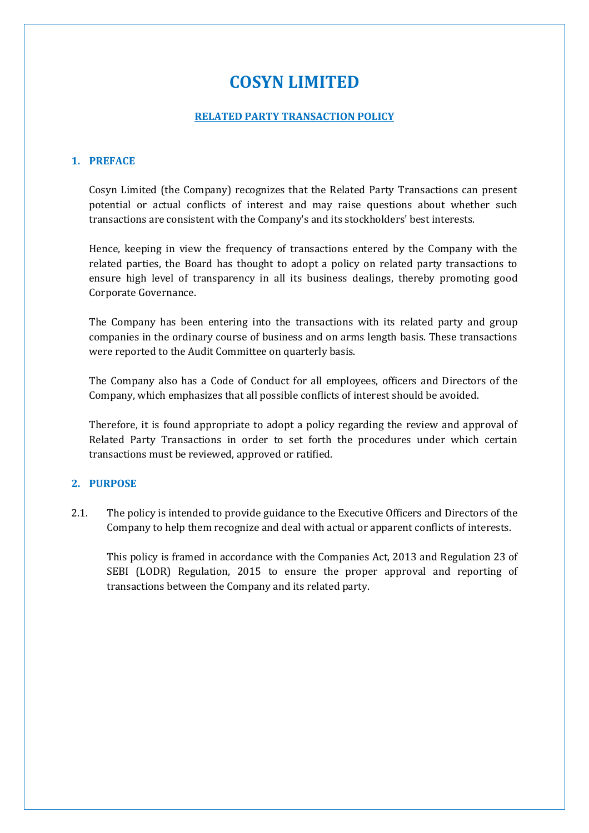# **COSYN LIMITED**

#### **RELATED PARTY TRANSACTION POLICY**

#### **1. PREFACE**

Cosyn Limited (the Company) recognizes that the Related Party Transactions can present potential or actual conflicts of interest and may raise questions about whether such transactions are consistent with the Company's and its stockholders' best interests.

Hence, keeping in view the frequency of transactions entered by the Company with the related parties, the Board has thought to adopt a policy on related party transactions to ensure high level of transparency in all its business dealings, thereby promoting good Corporate Governance.

The Company has been entering into the transactions with its related party and group companies in the ordinary course of business and on arms length basis. These transactions were reported to the Audit Committee on quarterly basis.

The Company also has a Code of Conduct for all employees, officers and Directors of the Company, which emphasizes that all possible conflicts of interest should be avoided.

Therefore, it is found appropriate to adopt a policy regarding the review and approval of Related Party Transactions in order to set forth the procedures under which certain transactions must be reviewed, approved or ratified.

# **2. PURPOSE**

2.1. The policy is intended to provide guidance to the Executive Officers and Directors of the Company to help them recognize and deal with actual or apparent conflicts of interests.

This policy is framed in accordance with the Companies Act, 2013 and Regulation 23 of SEBI (LODR) Regulation, 2015 to ensure the proper approval and reporting of transactions between the Company and its related party.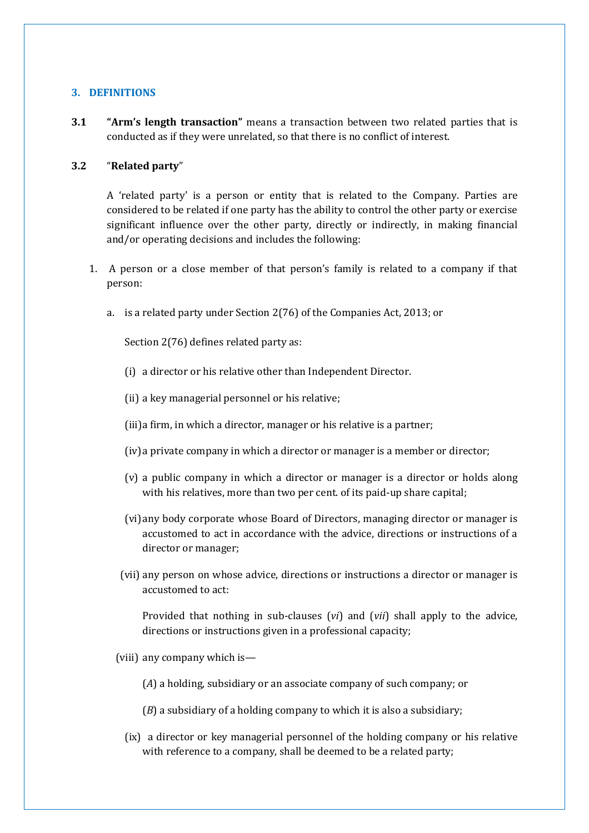# **3. DEFINITIONS**

**3.1 "Arm's length transaction"** means a transaction between two related parties that is conducted as if they were unrelated, so that there is no conflict of interest.

## **3.2** "**Related party**"

A 'related party' is a person or entity that is related to the Company. Parties are considered to be related if one party has the ability to control the other party or exercise significant influence over the other party, directly or indirectly, in making financial and/or operating decisions and includes the following:

- 1. A person or a close member of that person's family is related to a company if that person:
	- a. is a related party under Section 2(76) of the Companies Act, 2013; or

Section 2(76) defines related party as:

- (i) a director or his relative other than Independent Director.
- (ii) a key managerial personnel or his relative;
- (iii)a firm, in which a director, manager or his relative is a partner;
- (iv)a private company in which a director or manager is a member or director;
- (v) a public company in which a director or manager is a director or holds along with his relatives, more than two per cent. of its paid-up share capital;
- (vi)any body corporate whose Board of Directors, managing director or manager is accustomed to act in accordance with the advice, directions or instructions of a director or manager;
- (vii) any person on whose advice, directions or instructions a director or manager is accustomed to act:

Provided that nothing in sub-clauses (*vi*) and (*vii*) shall apply to the advice, directions or instructions given in a professional capacity;

- (viii) any company which is—
	- (*A*) a holding, subsidiary or an associate company of such company; or
	- (*B*) a subsidiary of a holding company to which it is also a subsidiary;
	- (ix) a director or key managerial personnel of the holding company or his relative with reference to a company, shall be deemed to be a related party;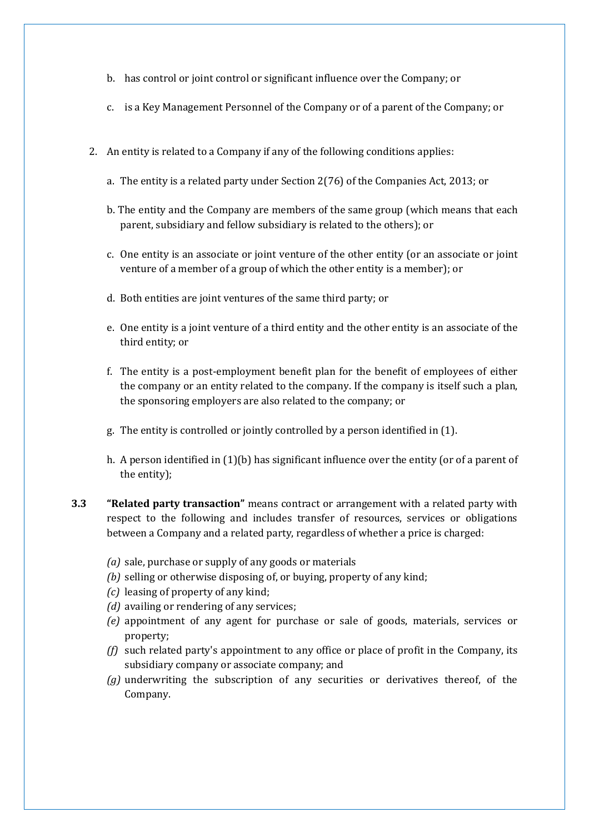- b. has control or joint control or significant influence over the Company; or
- c. is a Key Management Personnel of the Company or of a parent of the Company; or
- 2. An entity is related to a Company if any of the following conditions applies:
	- a. The entity is a related party under Section 2(76) of the Companies Act, 2013; or
	- b. The entity and the Company are members of the same group (which means that each parent, subsidiary and fellow subsidiary is related to the others); or
	- c. One entity is an associate or joint venture of the other entity (or an associate or joint venture of a member of a group of which the other entity is a member); or
	- d. Both entities are joint ventures of the same third party; or
	- e. One entity is a joint venture of a third entity and the other entity is an associate of the third entity; or
	- f. The entity is a post-employment benefit plan for the benefit of employees of either the company or an entity related to the company. If the company is itself such a plan, the sponsoring employers are also related to the company; or
	- g. The entity is controlled or jointly controlled by a person identified in (1).
	- h. A person identified in (1)(b) has significant influence over the entity (or of a parent of the entity);
- **3.3 "Related party transaction"** means contract or arrangement with a related party with respect to the following and includes transfer of resources, services or obligations between a Company and a related party, regardless of whether a price is charged:
	- *(a)* sale, purchase or supply of any goods or materials
	- *(b)* selling or otherwise disposing of, or buying, property of any kind;
	- *(c)* leasing of property of any kind;
	- *(d)* availing or rendering of any services;
	- *(e)* appointment of any agent for purchase or sale of goods, materials, services or property;
	- *(f)* such related party's appointment to any office or place of profit in the Company, its subsidiary company or associate company; and
	- *(g)* underwriting the subscription of any securities or derivatives thereof, of the Company.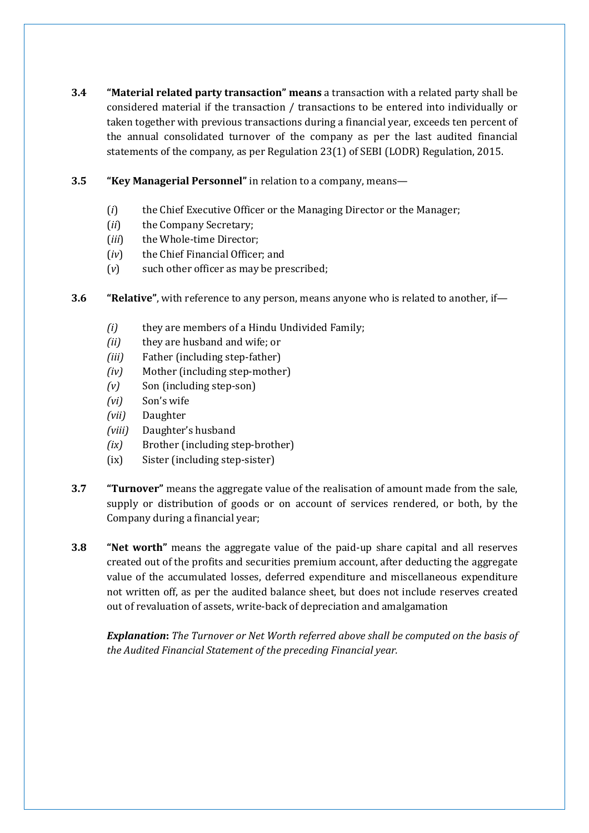- **3.4 "Material related party transaction" means** a transaction with a related party shall be considered material if the transaction / transactions to be entered into individually or taken together with previous transactions during a financial year, exceeds ten percent of the annual consolidated turnover of the company as per the last audited financial statements of the company, as per Regulation 23(1) of SEBI (LODR) Regulation, 2015.
- **3.5 "Key Managerial Personnel"** in relation to a company, means—
	- (*i*) the Chief Executive Officer or the Managing Director or the Manager;
	- (*ii*) the Company Secretary;
	- (*iii*) the Whole-time Director;
	- (*iv*) the Chief Financial Officer; and
	- (*v*) such other officer as may be prescribed;
- **3.6 "Relative"**, with reference to any person, means anyone who is related to another, if—
	- *(i)* they are members of a Hindu Undivided Family;
	- *(ii)* they are husband and wife; or
	- *(iii)* Father (including step-father)
	- *(iv)* Mother (including step-mother)
	- *(v)* Son (including step-son)
	- *(vi)* Son's wife
	- *(vii)* Daughter
	- *(viii)* Daughter's husband
	- *(ix)* Brother (including step-brother)
	- (ix) Sister (including step-sister)
- **3.7 "Turnover"** means the aggregate value of the realisation of amount made from the sale, supply or distribution of goods or on account of services rendered, or both, by the Company during a financial year;
- **3.8 "Net worth"** means the aggregate value of the paid-up share capital and all reserves created out of the profits and securities premium account, after deducting the aggregate value of the accumulated losses, deferred expenditure and miscellaneous expenditure not written off, as per the audited balance sheet, but does not include reserves created out of revaluation of assets, write-back of depreciation and amalgamation

*Explanation***:** *The Turnover or Net Worth referred above shall be computed on the basis of the Audited Financial Statement of the preceding Financial year.*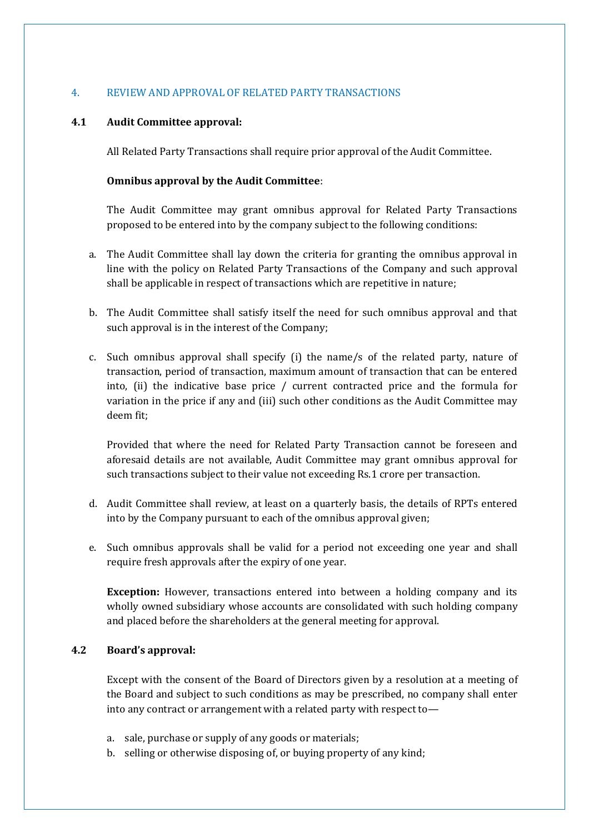## 4. REVIEW AND APPROVAL OF RELATED PARTY TRANSACTIONS

## **4.1 Audit Committee approval:**

All Related Party Transactions shall require prior approval of the Audit Committee.

#### **Omnibus approval by the Audit Committee**:

The Audit Committee may grant omnibus approval for Related Party Transactions proposed to be entered into by the company subject to the following conditions:

- a. The Audit Committee shall lay down the criteria for granting the omnibus approval in line with the policy on Related Party Transactions of the Company and such approval shall be applicable in respect of transactions which are repetitive in nature;
- b. The Audit Committee shall satisfy itself the need for such omnibus approval and that such approval is in the interest of the Company;
- c. Such omnibus approval shall specify (i) the name/s of the related party, nature of transaction, period of transaction, maximum amount of transaction that can be entered into, (ii) the indicative base price / current contracted price and the formula for variation in the price if any and (iii) such other conditions as the Audit Committee may deem fit;

Provided that where the need for Related Party Transaction cannot be foreseen and aforesaid details are not available, Audit Committee may grant omnibus approval for such transactions subject to their value not exceeding Rs.1 crore per transaction.

- d. Audit Committee shall review, at least on a quarterly basis, the details of RPTs entered into by the Company pursuant to each of the omnibus approval given;
- e. Such omnibus approvals shall be valid for a period not exceeding one year and shall require fresh approvals after the expiry of one year.

**Exception:** However, transactions entered into between a holding company and its wholly owned subsidiary whose accounts are consolidated with such holding company and placed before the shareholders at the general meeting for approval.

## **4.2 Board's approval:**

Except with the consent of the Board of Directors given by a resolution at a meeting of the Board and subject to such conditions as may be prescribed, no company shall enter into any contract or arrangement with a related party with respect to—

- a. sale, purchase or supply of any goods or materials;
- b. selling or otherwise disposing of, or buying property of any kind;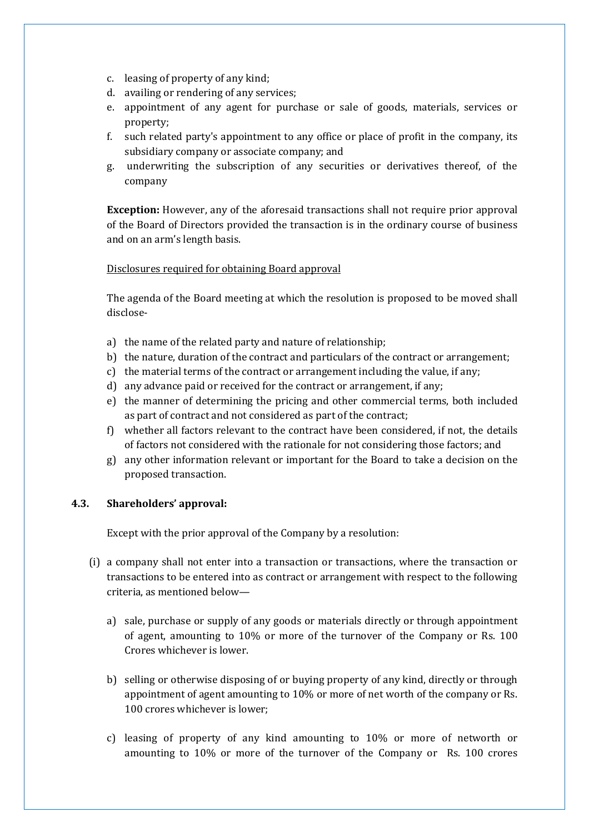- c. leasing of property of any kind;
- d. availing or rendering of any services;
- e. appointment of any agent for purchase or sale of goods, materials, services or property;
- f. such related party's appointment to any office or place of profit in the company, its subsidiary company or associate company; and
- g. underwriting the subscription of any securities or derivatives thereof, of the company

**Exception:** However, any of the aforesaid transactions shall not require prior approval of the Board of Directors provided the transaction is in the ordinary course of business and on an arm's length basis.

#### Disclosures required for obtaining Board approval

The agenda of the Board meeting at which the resolution is proposed to be moved shall disclose-

- a) the name of the related party and nature of relationship;
- b) the nature, duration of the contract and particulars of the contract or arrangement;
- c) the material terms of the contract or arrangement including the value, if any;
- d) any advance paid or received for the contract or arrangement, if any;
- e) the manner of determining the pricing and other commercial terms, both included as part of contract and not considered as part of the contract;
- f) whether all factors relevant to the contract have been considered, if not, the details of factors not considered with the rationale for not considering those factors; and
- g) any other information relevant or important for the Board to take a decision on the proposed transaction.

#### **4.3. Shareholders' approval:**

Except with the prior approval of the Company by a resolution:

- (i) a company shall not enter into a transaction or transactions, where the transaction or transactions to be entered into as contract or arrangement with respect to the following criteria, as mentioned below
	- a) sale, purchase or supply of any goods or materials directly or through appointment of agent, amounting to 10% or more of the turnover of the Company or Rs. 100 Crores whichever is lower.
	- b) selling or otherwise disposing of or buying property of any kind, directly or through appointment of agent amounting to 10% or more of net worth of the company or Rs. 100 crores whichever is lower;
	- c) leasing of property of any kind amounting to 10% or more of networth or amounting to 10% or more of the turnover of the Company or Rs. 100 crores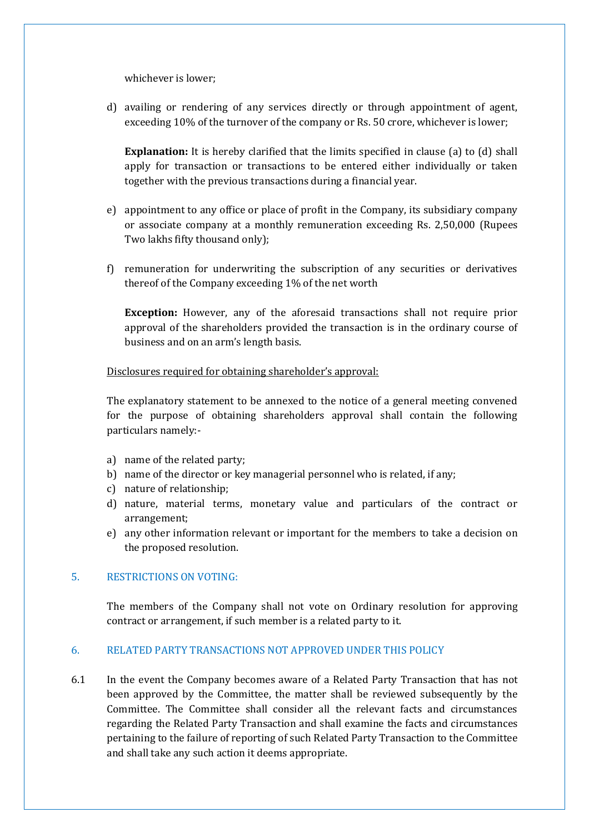whichever is lower;

d) availing or rendering of any services directly or through appointment of agent, exceeding 10% of the turnover of the company or Rs. 50 crore, whichever is lower;

**Explanation:** It is hereby clarified that the limits specified in clause (a) to (d) shall apply for transaction or transactions to be entered either individually or taken together with the previous transactions during a financial year.

- e) appointment to any office or place of profit in the Company, its subsidiary company or associate company at a monthly remuneration exceeding Rs. 2,50,000 (Rupees Two lakhs fifty thousand only);
- f) remuneration for underwriting the subscription of any securities or derivatives thereof of the Company exceeding 1% of the net worth

**Exception:** However, any of the aforesaid transactions shall not require prior approval of the shareholders provided the transaction is in the ordinary course of business and on an arm's length basis.

Disclosures required for obtaining shareholder's approval:

The explanatory statement to be annexed to the notice of a general meeting convened for the purpose of obtaining shareholders approval shall contain the following particulars namely:-

- a) name of the related party;
- b) name of the director or key managerial personnel who is related, if any;
- c) nature of relationship;
- d) nature, material terms, monetary value and particulars of the contract or arrangement;
- e) any other information relevant or important for the members to take a decision on the proposed resolution.

#### 5. RESTRICTIONS ON VOTING:

The members of the Company shall not vote on Ordinary resolution for approving contract or arrangement, if such member is a related party to it.

#### 6. RELATED PARTY TRANSACTIONS NOT APPROVED UNDER THIS POLICY

6.1 In the event the Company becomes aware of a Related Party Transaction that has not been approved by the Committee, the matter shall be reviewed subsequently by the Committee. The Committee shall consider all the relevant facts and circumstances regarding the Related Party Transaction and shall examine the facts and circumstances pertaining to the failure of reporting of such Related Party Transaction to the Committee and shall take any such action it deems appropriate.